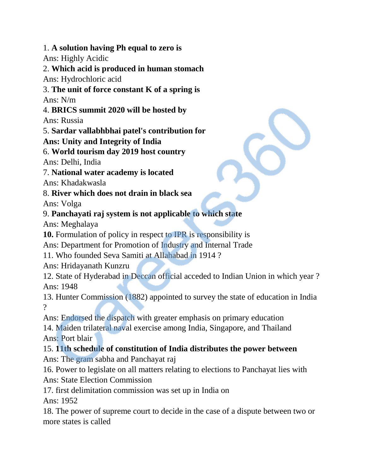1. **A solution having Ph equal to zero is**

Ans: Highly Acidic

2. **Which acid is produced in human stomach** Ans: Hydrochloric acid

# 3. **The unit of force constant K of a spring is**

Ans: N/m

4. **BRICS summit 2020 will be hosted by**

Ans: Russia

5. **Sardar vallabhbhai patel's contribution for**

#### **Ans: Unity and Integrity of India**

6. **World tourism day 2019 host country**

Ans: Delhi, India

7. **National water academy is located**

Ans: Khadakwasla

#### 8. **River which does not drain in black sea**

Ans: Volga

### 9. **Panchayati raj system is not applicable to which state**

Ans: Meghalaya

**10.** Formulation of policy in respect to IPR is responsibility is

Ans: Department for Promotion of Industry and Internal Trade

11. Who founded Seva Samiti at Allahabad in 1914 ?

Ans: Hridayanath Kunzru

12. State of Hyderabad in Deccan official acceded to Indian Union in which year ? Ans: 1948

13. Hunter Commission (1882) appointed to survey the state of education in India  $\mathcal{P}$ 

Ans: Endorsed the dispatch with greater emphasis on primary education

14. Maiden trilateral naval exercise among India, Singapore, and Thailand Ans: Port blair

## 15. **11th schedule of constitution of India distributes the power between**

Ans: The gram sabha and Panchayat raj

16. Power to legislate on all matters relating to elections to Panchayat lies with Ans: State Election Commission

17. first delimitation commission was set up in India on Ans: 1952

18. The power of supreme court to decide in the case of a dispute between two or more states is called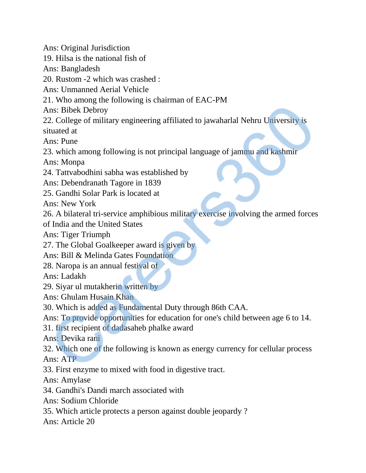Ans: Original Jurisdiction 19. Hilsa is the national fish of Ans: Bangladesh 20. Rustom -2 which was crashed : Ans: Unmanned Aerial Vehicle 21. Who among the following is chairman of EAC-PM Ans: Bibek Debroy 22. College of military engineering affiliated to jawaharlal Nehru University is situated at Ans: Pune 23. which among following is not principal language of jammu and kashmir Ans: Monpa 24. Tattvabodhini sabha was established by Ans: Debendranath Tagore in 1839 25. Gandhi Solar Park is located at Ans: New York 26. A bilateral tri-service amphibious military exercise involving the armed forces of India and the United States Ans: Tiger Triumph 27. The Global Goalkeeper award is given by Ans: Bill & Melinda Gates Foundation 28. Naropa is an annual festival of Ans: Ladakh 29. Siyar ul mutakherin written by Ans: Ghulam Husain Khan 30. Which is added as Fundamental Duty through 86th CAA. Ans: To provide opportunities for education for one's child between age 6 to 14. 31. first recipient of dadasaheb phalke award Ans: Devika rani 32. Which one of the following is known as energy currency for cellular process Ans: ATP 33. First enzyme to mixed with food in digestive tract. Ans: Amylase 34. Gandhi's Dandi march associated with Ans: Sodium Chloride 35. Which article protects a person against double jeopardy ? Ans: Article 20